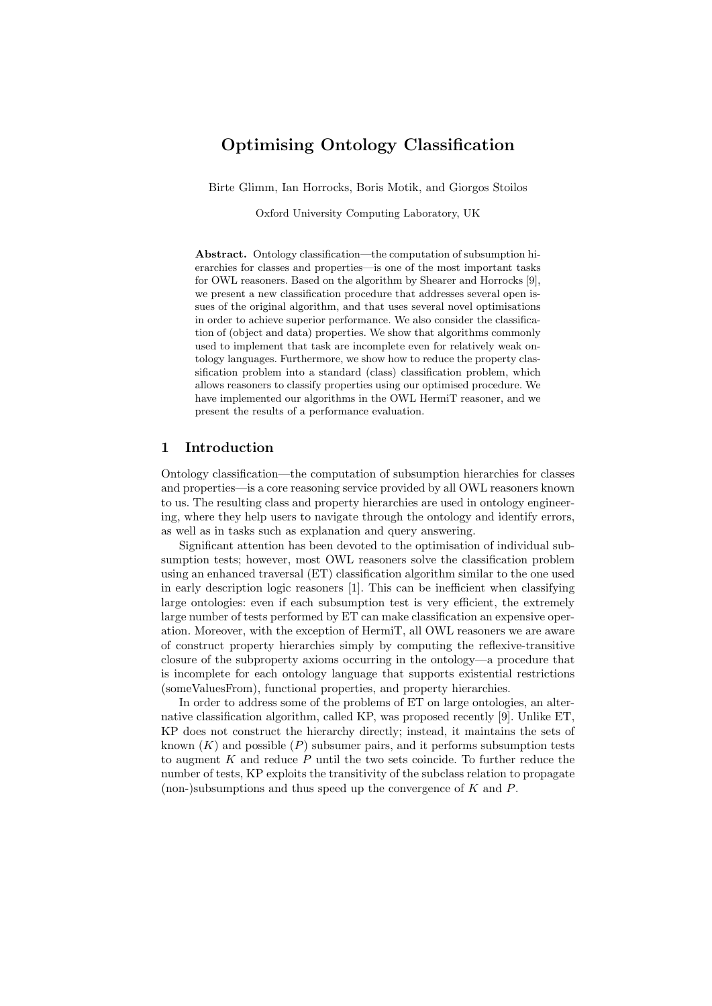# **Optimising Ontology Classification**

Birte Glimm, Ian Horrocks, Boris Motik, and Giorgos Stoilos

Oxford University Computing Laboratory, UK

**Abstract.** Ontology classification—the computation of subsumption hierarchies for classes and properties—is one of the most important tasks for OWL reasoners. Based on the algorithm by Shearer and Horrocks [9], we present a new classification procedure that addresses several open issues of the original algorithm, and that uses several novel optimisations in order to achieve superior performance. We also consider the classification of (object and data) properties. We show that algorithms commonly used to implement that task are incomplete even for relatively weak ontology languages. Furthermore, we show how to reduce the property classification problem into a standard (class) classification problem, which allows reasoners to classify properties using our optimised procedure. We have implemented our algorithms in the OWL HermiT reasoner, and we present the results of a performance evaluation.

# **1 Introduction**

Ontology classification—the computation of subsumption hierarchies for classes and properties—is a core reasoning service provided by all OWL reasoners known to us. The resulting class and property hierarchies are used in ontology engineering, where they help users to navigate through the ontology and identify errors, as well as in tasks such as explanation and query answering.

Significant attention has been devoted to the optimisation of individual subsumption tests; however, most OWL reasoners solve the classification problem using an enhanced traversal (ET) classification algorithm similar to the one used in early description logic reasoners [1]. This can be inefficient when classifying large ontologies: even if each subsumption test is very efficient, the extremely large number of tests performed by ET can make classification an expensive operation. Moreover, with the exception of HermiT, all OWL reasoners we are aware of construct property hierarchies simply by computing the reflexive-transitive closure of the subproperty axioms occurring in the ontology—a procedure that is incomplete for each ontology language that supports existential restrictions (someValuesFrom), functional properties, and property hierarchies.

In order to address some of the problems of ET on large ontologies, an alternative classification algorithm, called KP, was proposed recently [9]. Unlike ET, KP does not construct the hierarchy directly; instead, it maintains the sets of known  $(K)$  and possible  $(P)$  subsumer pairs, and it performs subsumption tests to augment *K* and reduce *P* until the two sets coincide. To further reduce the number of tests, KP exploits the transitivity of the subclass relation to propagate (non-)subsumptions and thus speed up the convergence of *K* and *P*.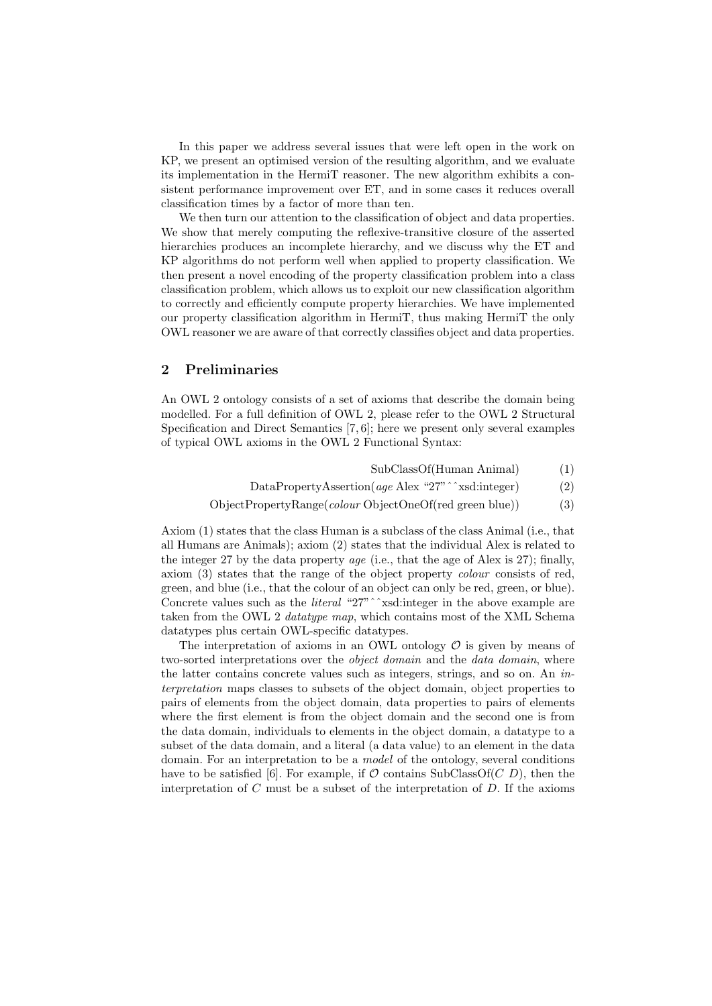In this paper we address several issues that were left open in the work on KP, we present an optimised version of the resulting algorithm, and we evaluate its implementation in the HermiT reasoner. The new algorithm exhibits a consistent performance improvement over ET, and in some cases it reduces overall classification times by a factor of more than ten.

We then turn our attention to the classification of object and data properties. We show that merely computing the reflexive-transitive closure of the asserted hierarchies produces an incomplete hierarchy, and we discuss why the ET and KP algorithms do not perform well when applied to property classification. We then present a novel encoding of the property classification problem into a class classification problem, which allows us to exploit our new classification algorithm to correctly and efficiently compute property hierarchies. We have implemented our property classification algorithm in HermiT, thus making HermiT the only OWL reasoner we are aware of that correctly classifies object and data properties.

# **2 Preliminaries**

An OWL 2 ontology consists of a set of axioms that describe the domain being modelled. For a full definition of OWL 2, please refer to the OWL 2 Structural Specification and Direct Semantics [7, 6]; here we present only several examples of typical OWL axioms in the OWL 2 Functional Syntax:

SubClassOf(Human Animal) (1)

DataPropertyAssertion(*age* Alex "27"ˆˆxsd:integer) (2)

ObjectPropertyRange(*colour* ObjectOneOf(red green blue)) (3)

Axiom (1) states that the class Human is a subclass of the class Animal (i.e., that all Humans are Animals); axiom (2) states that the individual Alex is related to the integer 27 by the data property *age* (i.e., that the age of Alex is 27); finally, axiom (3) states that the range of the object property *colour* consists of red, green, and blue (i.e., that the colour of an object can only be red, green, or blue). Concrete values such as the *literal* "27"ˆˆxsd:integer in the above example are taken from the OWL 2 *datatype map*, which contains most of the XML Schema datatypes plus certain OWL-specific datatypes.

The interpretation of axioms in an OWL ontology  $\mathcal O$  is given by means of two-sorted interpretations over the *object domain* and the *data domain*, where the latter contains concrete values such as integers, strings, and so on. An *interpretation* maps classes to subsets of the object domain, object properties to pairs of elements from the object domain, data properties to pairs of elements where the first element is from the object domain and the second one is from the data domain, individuals to elements in the object domain, a datatype to a subset of the data domain, and a literal (a data value) to an element in the data domain. For an interpretation to be a *model* of the ontology, several conditions have to be satisfied [6]. For example, if  $\mathcal O$  contains SubClassOf( $\mathcal CD$ ), then the interpretation of *C* must be a subset of the interpretation of *D*. If the axioms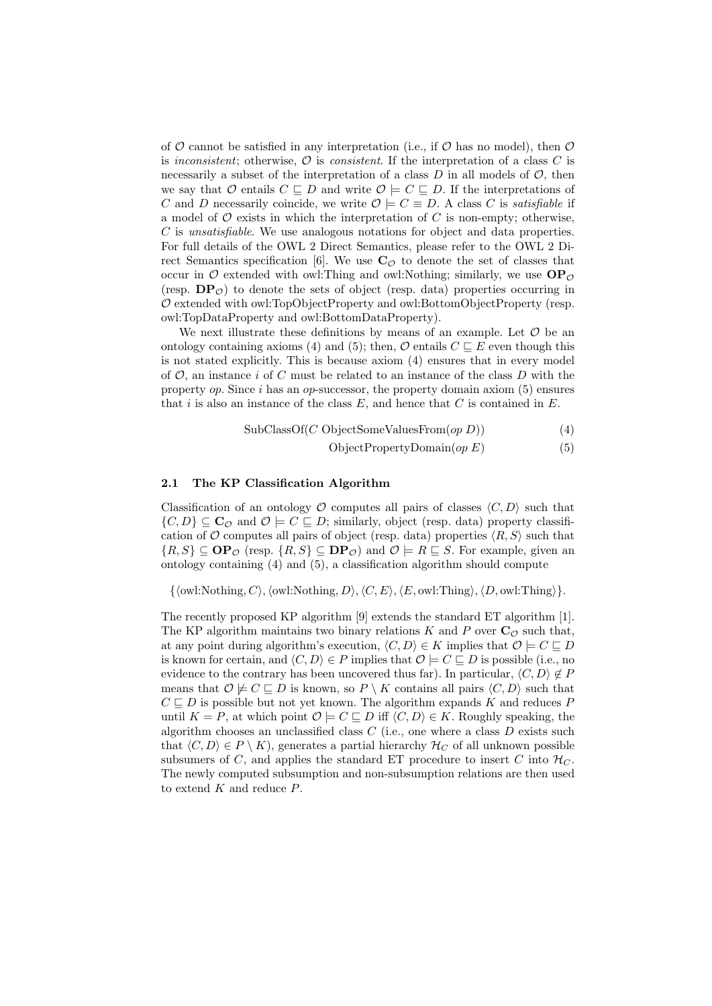of *O* cannot be satisfied in any interpretation (i.e., if *O* has no model), then *O* is *inconsistent*; otherwise, *O* is *consistent*. If the interpretation of a class *C* is necessarily a subset of the interpretation of a class  $D$  in all models of  $\mathcal{O}$ , then we say that  $\mathcal{O}$  entails  $C \subseteq D$  and write  $\mathcal{O} \models C \subseteq D$ . If the interpretations of *C* and *D* necessarily coincide, we write  $\mathcal{O} \models C \equiv D$ . A class *C* is *satisfiable* if a model of  $\mathcal O$  exists in which the interpretation of  $C$  is non-empty; otherwise, *C* is *unsatisfiable*. We use analogous notations for object and data properties. For full details of the OWL 2 Direct Semantics, please refer to the OWL 2 Direct Semantics specification [6]. We use  $\mathbf{C}_{\mathcal{O}}$  to denote the set of classes that occur in  $\mathcal{O}$  extended with owl:Thing and owl:Nothing; similarly, we use  $OP_{\mathcal{O}}$ (resp.  $DP_{\mathcal{O}}$ ) to denote the sets of object (resp. data) properties occurring in *O* extended with owl:TopObjectProperty and owl:BottomObjectProperty (resp. owl:TopDataProperty and owl:BottomDataProperty).

We next illustrate these definitions by means of an example. Let  $\mathcal O$  be an ontology containing axioms (4) and (5); then,  $\mathcal{O}$  entails  $C \sqsubseteq E$  even though this is not stated explicitly. This is because axiom (4) ensures that in every model of *O*, an instance *i* of *C* must be related to an instance of the class *D* with the property *op*. Since *i* has an *op*-successor, the property domain axiom (5) ensures that *i* is also an instance of the class *E*, and hence that *C* is contained in *E*.

$$
SubClassOf(C\;ObjectSomeValuesFrom(op\;D))\tag{4}
$$

$$
ObjectPropertyDomain(op E) \t\t (5)
$$

### **2.1 The KP Classification Algorithm**

Classification of an ontology  $O$  computes all pairs of classes  $\langle C, D \rangle$  such that *{C, D}* ⊆ **C**<sub>*O*</sub> and  $\mathcal{O}$   $\models$  *C*  $\subseteq$  *D*; similarly, object (resp. data) property classification of  $\mathcal O$  computes all pairs of object (resp. data) properties  $\langle R, S \rangle$  such that *{R, S}* ⊆ **OP**<sub>*O*</sub> (resp. *{R, S}* ⊆ **DP**<sub>*O*</sub>) and  $\mathcal{O}$   $\models R \sqsubseteq S$ . For example, given an ontology containing (4) and (5), a classification algorithm should compute

 $\{\langle \text{owl:Nothing}, C \rangle, \langle \text{owl:Nothing}, D \rangle, \langle C, E \rangle, \langle E, \text{owl:Thing} \rangle, \langle D, \text{owl:Thing} \rangle\}.$ 

The recently proposed KP algorithm [9] extends the standard ET algorithm [1]. The KP algorithm maintains two binary relations  $K$  and  $P$  over  $C_{\mathcal{O}}$  such that, at any point during algorithm's execution,  $\langle C, D \rangle \in K$  implies that  $\mathcal{O} \models C \sqsubseteq D$ is known for certain, and  $\langle C, D \rangle \in P$  implies that  $\mathcal{O} \models C \sqsubseteq D$  is possible (i.e., no evidence to the contrary has been uncovered thus far). In particular,  $\langle C, D \rangle \notin P$ means that  $\mathcal{O} \not\models C \sqsubseteq D$  is known, so  $P \setminus K$  contains all pairs  $\langle C, D \rangle$  such that  $C \subseteq D$  is possible but not yet known. The algorithm expands *K* and reduces *P* until  $K = P$ , at which point  $\mathcal{O} \models C \sqsubseteq D$  iff  $\langle C, D \rangle \in K$ . Roughly speaking, the algorithm chooses an unclassified class *C* (i.e., one where a class *D* exists such that  $\langle C, D \rangle$  ∈ *P*  $\setminus$  *K*), generates a partial hierarchy  $\mathcal{H}_C$  of all unknown possible subsumers of *C*, and applies the standard ET procedure to insert *C* into  $\mathcal{H}_C$ . The newly computed subsumption and non-subsumption relations are then used to extend *K* and reduce *P*.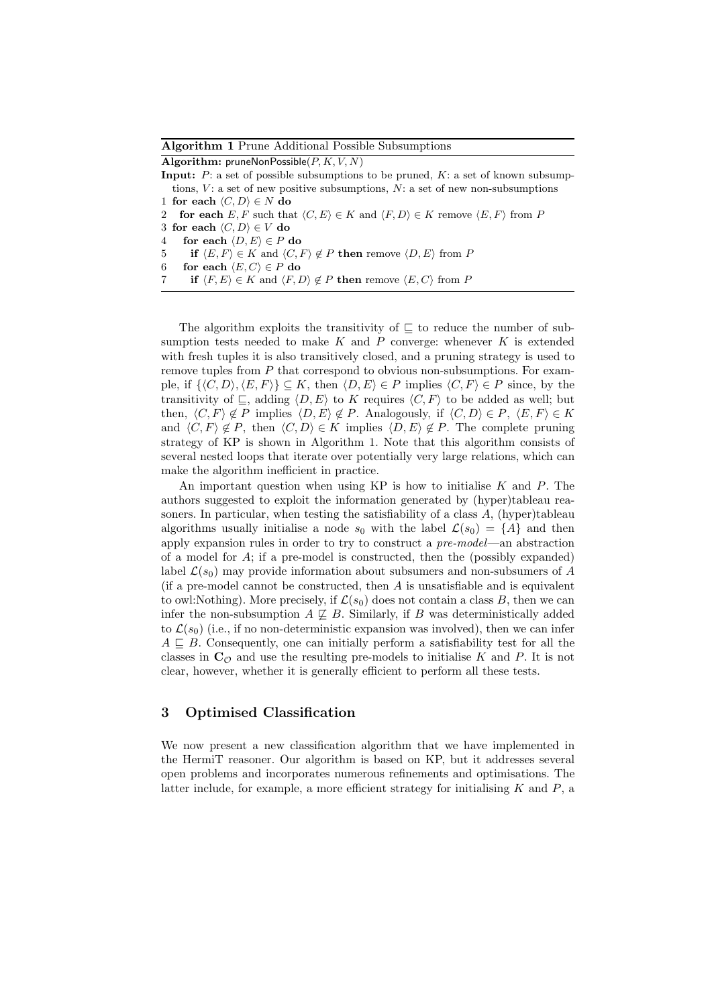#### **Algorithm 1** Prune Additional Possible Subsumptions

**Algorithm:** pruneNonPossible(*P, K, V, N*)

**Input:** *P*: a set of possible subsumptions to be pruned, *K*: a set of known subsumptions, *V* : a set of new positive subsumptions, *N*: a set of new non-subsumptions **for each**  $\langle C, D \rangle \in N$  **do for each** *E*, *F* such that  $\langle C, E \rangle \in K$  and  $\langle F, D \rangle \in K$  remove  $\langle E, F \rangle$  from *P* 3 for each  $\langle C, D \rangle \in V$  do **for each**  $\langle D, E \rangle \in P$  **do if**  $\langle E, F \rangle \in K$  and  $\langle C, F \rangle \notin P$  then remove  $\langle D, E \rangle$  from P **for each**  $\langle E, C \rangle \in P$  **do if**  $\langle F, E \rangle \in K$  and  $\langle F, D \rangle \notin P$  **then** remove  $\langle E, C \rangle$  from *P* 

The algorithm exploits the transitivity of  $\subseteq$  to reduce the number of subsumption tests needed to make  $K$  and  $P$  converge: whenever  $K$  is extended with fresh tuples it is also transitively closed, and a pruning strategy is used to remove tuples from *P* that correspond to obvious non-subsumptions. For example, if  $\{\langle C, D \rangle, \langle E, F \rangle\} \subseteq K$ , then  $\langle D, E \rangle \in P$  implies  $\langle C, F \rangle \in P$  since, by the transitivity of  $\subseteq$ , adding  $\langle D, E \rangle$  to *K* requires  $\langle C, F \rangle$  to be added as well; but then,  $\langle C, F \rangle \notin P$  implies  $\langle D, E \rangle \notin P$ . Analogously, if  $\langle C, D \rangle \in P$ ,  $\langle E, F \rangle \in K$ and  $\langle C, F \rangle \notin P$ , then  $\langle C, D \rangle \in K$  implies  $\langle D, E \rangle \notin P$ . The complete pruning strategy of KP is shown in Algorithm 1. Note that this algorithm consists of several nested loops that iterate over potentially very large relations, which can make the algorithm inefficient in practice.

An important question when using KP is how to initialise *K* and *P*. The authors suggested to exploit the information generated by (hyper)tableau reasoners. In particular, when testing the satisfiability of a class *A*, (hyper)tableau algorithms usually initialise a node  $s_0$  with the label  $\mathcal{L}(s_0) = \{A\}$  and then apply expansion rules in order to try to construct a *pre-model*—an abstraction of a model for *A*; if a pre-model is constructed, then the (possibly expanded) label  $\mathcal{L}(s_0)$  may provide information about subsumers and non-subsumers of *A* (if a pre-model cannot be constructed, then *A* is unsatisfiable and is equivalent to owl:Nothing). More precisely, if  $\mathcal{L}(s_0)$  does not contain a class *B*, then we can infer the non-subsumption  $A \not\sqsubseteq B$ . Similarly, if *B* was deterministically added to  $\mathcal{L}(s_0)$  (i.e., if no non-deterministic expansion was involved), then we can infer  $A \subseteq B$ . Consequently, one can initially perform a satisfiability test for all the classes in  $C_{\mathcal{O}}$  and use the resulting pre-models to initialise *K* and *P*. It is not clear, however, whether it is generally efficient to perform all these tests.

# **3 Optimised Classification**

We now present a new classification algorithm that we have implemented in the HermiT reasoner. Our algorithm is based on KP, but it addresses several open problems and incorporates numerous refinements and optimisations. The latter include, for example, a more efficient strategy for initialising *K* and *P*, a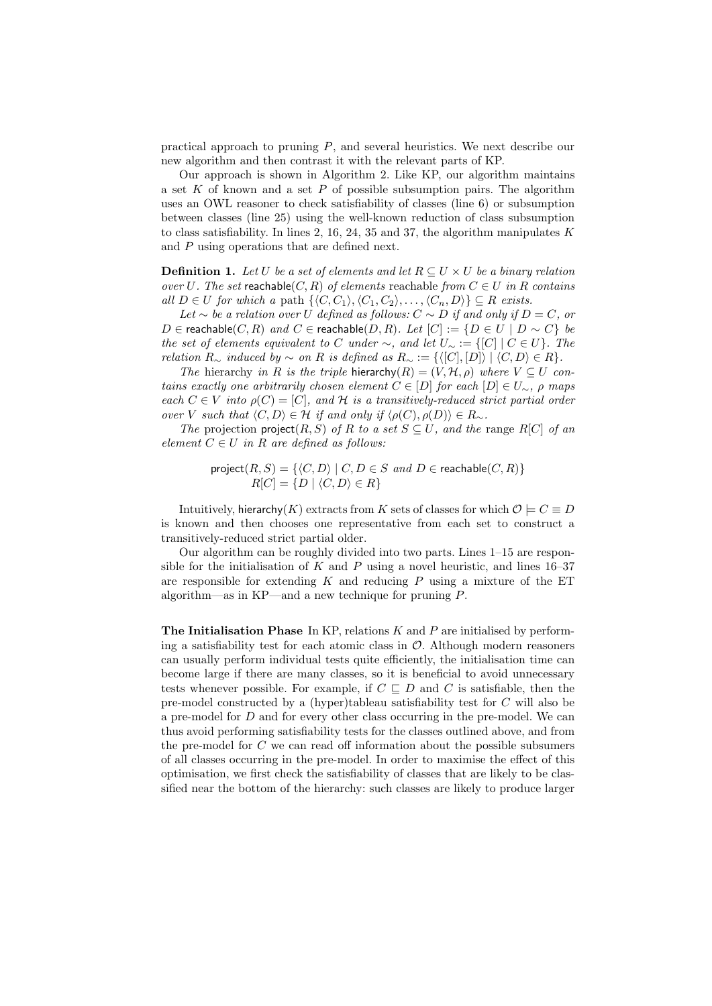practical approach to pruning *P*, and several heuristics. We next describe our new algorithm and then contrast it with the relevant parts of KP.

Our approach is shown in Algorithm 2. Like KP, our algorithm maintains a set *K* of known and a set *P* of possible subsumption pairs. The algorithm uses an OWL reasoner to check satisfiability of classes (line 6) or subsumption between classes (line 25) using the well-known reduction of class subsumption to class satisfiability. In lines 2, 16, 24, 35 and 37, the algorithm manipulates *K* and *P* using operations that are defined next.

**Definition 1.** Let *U* be a set of elements and let  $R \subseteq U \times U$  be a binary relation *over U. The set* reachable(*C, R*) *of elements* reachable *from*  $C \in U$  *in R contains all*  $D \in U$  *for which a* path  $\{\langle C, C_1 \rangle, \langle C_1, C_2 \rangle, \ldots, \langle C_n, D \rangle\} \subseteq R$  *exists.* 

 $Let ∼ be a relation over *U* defined as follows:  $C ∼ D$  if and only if  $D = C$ , or$ *D* ∈ reachable(*C, R*) *and*  $C$  ∈ reachable(*D, R*)*. Let*  $[C] := {D ∈ U | D ∼ C}$  *be the set of elements equivalent to C under*  $\sim$ , *and let*  $U_{\sim} := \{[C] \mid C \in U\}$ *. The relation*  $R_{\sim}$  *induced by*  $\sim$  *on*  $R$  *is defined as*  $R_{\sim} := \{ \langle [C], [D] \rangle \mid \langle C, D \rangle \in R \}$ *.* 

*The* hierarchy *in R is the triple* hierarchy(*R*) =  $(V, H, \rho)$  *where*  $V \subseteq U$  *contains exactly one arbitrarily chosen element*  $C \in [D]$  *for each*  $[D] \in U_{\infty}$ ,  $\rho$  *maps each*  $C \in V$  *into*  $\rho(C) = [C]$ *, and*  $H$  *is a transitively-reduced strict partial order over V such that*  $\langle C, D \rangle \in \mathcal{H}$  *if and only if*  $\langle \rho(C), \rho(D) \rangle \in R_{\sim}$ *.* 

*The* projection **project** $(R, S)$  *of R to a set*  $S \subseteq U$ *, and the* range  $R[C]$  *of an element*  $C \in U$  *in*  $R$  *are defined as follows:* 

$$
project(R, S) = \{ \langle C, D \rangle \mid C, D \in S \text{ and } D \in \text{reachable}(C, R) \}
$$

$$
R[C] = \{ D \mid \langle C, D \rangle \in R \}
$$

Intuitively, hierarchy(*K*) extracts from *K* sets of classes for which  $\mathcal{O} \models C \equiv D$ is known and then chooses one representative from each set to construct a transitively-reduced strict partial older.

Our algorithm can be roughly divided into two parts. Lines 1–15 are responsible for the initialisation of  $K$  and  $P$  using a novel heuristic, and lines  $16-37$ are responsible for extending *K* and reducing *P* using a mixture of the ET algorithm—as in KP—and a new technique for pruning *P*.

**The Initialisation Phase** In KP, relations *K* and *P* are initialised by performing a satisfiability test for each atomic class in *O*. Although modern reasoners can usually perform individual tests quite efficiently, the initialisation time can become large if there are many classes, so it is beneficial to avoid unnecessary tests whenever possible. For example, if  $C \subseteq D$  and  $C$  is satisfiable, then the pre-model constructed by a (hyper)tableau satisfiability test for *C* will also be a pre-model for *D* and for every other class occurring in the pre-model. We can thus avoid performing satisfiability tests for the classes outlined above, and from the pre-model for *C* we can read off information about the possible subsumers of all classes occurring in the pre-model. In order to maximise the effect of this optimisation, we first check the satisfiability of classes that are likely to be classified near the bottom of the hierarchy: such classes are likely to produce larger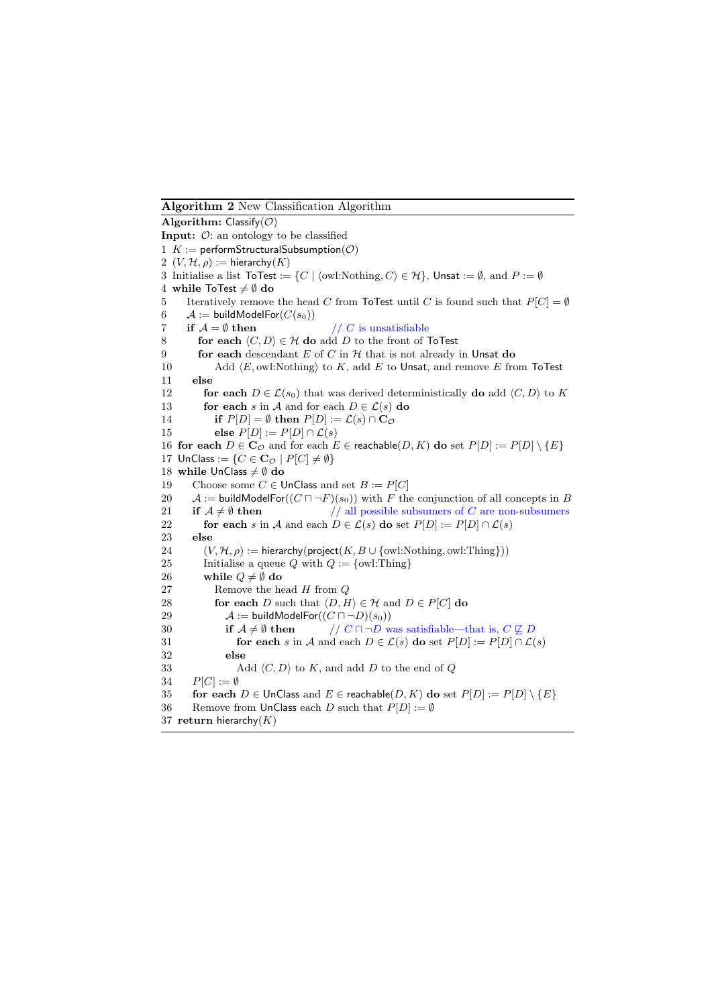**Algorithm 2** New Classification Algorithm

**Algorithm:** Classify(*O*) **Input:** *O*: an ontology to be classified  $K :=$  performStructuralSubsumption( $\mathcal{O}$ )  $(V, \mathcal{H}, \rho) :=$  hierarchy $(K)$ 3 Initialise a list  $\text{ToTest} := \{ C \mid \langle \text{owl:Notning}, C \rangle \in \mathcal{H} \}$ , Unsat  $:= \emptyset$ , and  $P := \emptyset$  **while** ToTest *6*= *∅* **do** 5 Iteratively remove the head *C* from **ToTest** until *C* is found such that  $P[C] = \emptyset$  $A := \text{buildModelFor}(C(s_0))$ **if**  $A = \emptyset$  **then** // *C* is unsatisfiable **for each**  $\langle C, D \rangle \in \mathcal{H}$  **do** add *D* to the front of ToTest **for each** descendant *E* of *C* in *H* that is not already in Unsat **do** 10 Add  $\langle E, \text{owl:Nothing} \rangle$  to *K*, add *E* to Unsat, and remove *E* from ToTest 11 **else for each**  $D \in \mathcal{L}(s_0)$  that was derived deterministically **do** add  $\langle C, D \rangle$  to *K* **for each** *s* in *A* and for each  $D \in \mathcal{L}(s)$  **do if**  $P[D] = \emptyset$  **then**  $P[D] := \mathcal{L}(s) \cap \mathbf{C}_{\mathcal{O}}$ <br>15 **else**  $P[D] := P[D] \cap \mathcal{L}(s)$  $\text{else } P[D] := P[D] \cap \mathcal{L}(s)$ **for each**  $D \in \mathbb{C}_{\mathcal{O}}$  and for each  $E \in \text{reachable}(D, K)$  **do** set  $P[D] := P[D] \setminus \{E\}$ 17 UnClass :=  $\{C \in \mathbf{C}_{\mathcal{O}} \mid P[C] \neq \emptyset\}$ **while**  $UnClass \neq \emptyset$  **do** 19 Choose some  $C \in$  UnClass and set  $B := P[C]$  $\mathcal{A} := \text{buildModelFor}((C \sqcap \neg F)(s_0))$  with *F* the conjunction of all concepts in *B* **if**  $A \neq \emptyset$  **then** // all possible subsumers of *C* are non-subsumers **for each** *s* in *A* and each  $D \in \mathcal{L}(s)$  **do** set  $P[D] := P[D] \cap \mathcal{L}(s)$ 23 **else**  $(V, \mathcal{H}, \rho) :=$  hierarchy(project(*K, B*  $\cup$  {owl:Nothing, owl:Thing})) Initialise a queue *Q* with *Q* := *{*owl:Thing*}* **while**  $Q \neq \emptyset$  **do**  Remove the head *H* from *Q* **for each** *D* such that  $\langle D, H \rangle \in \mathcal{H}$  and  $D \in P[C]$  do  $A := \text{buildModelFor}((C \sqcap \neg D)(s_0))$ **if**  $A \neq \emptyset$  **then** //  $C \sqcap \neg D$  was satisfiable—that is,  $C \not\sqsubseteq D$ **for each** *s* in *A* and each  $D \in \mathcal{L}(s)$  **do** set  $P[D] := P[D] \cap \mathcal{L}(s)$ 32 **else** 33 Add  $\langle C, D \rangle$  to *K*, and add *D* to the end of *Q* 34  $P[C] := \emptyset$  $P[C] := \emptyset$ **for each**  $D \in$  UnClass and  $E \in$  reachable( $D, K$ ) **do** set  $P[D] := P[D] \setminus \{E\}$ 36 Remove from UnClass each *D* such that  $P[D] := \emptyset$ **return** hierarchy(*K*)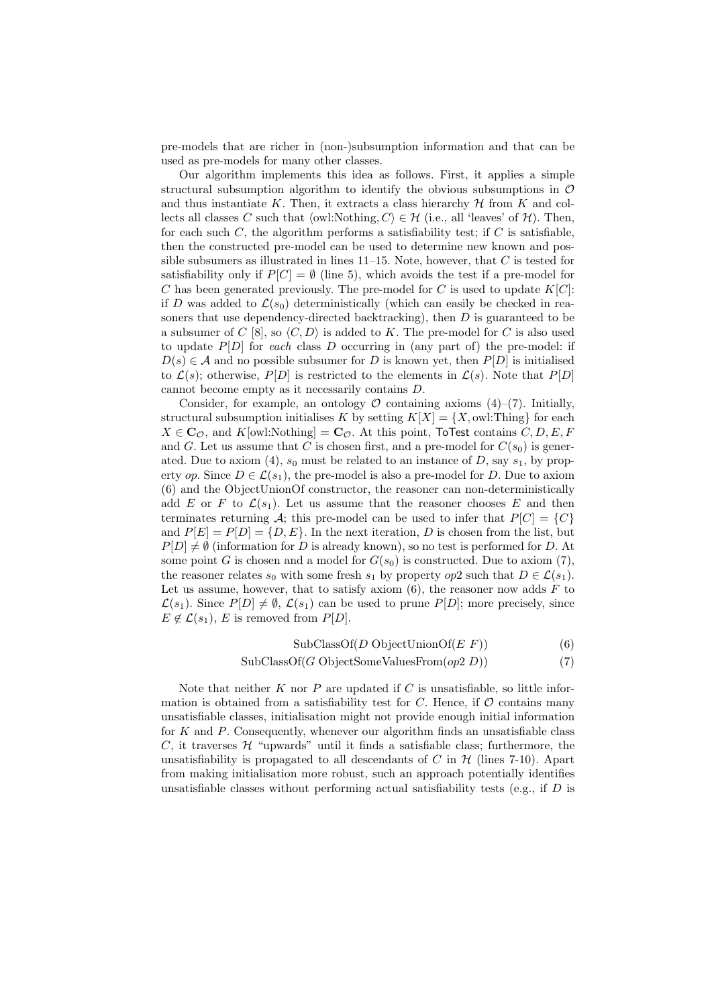pre-models that are richer in (non-)subsumption information and that can be used as pre-models for many other classes.

Our algorithm implements this idea as follows. First, it applies a simple structural subsumption algorithm to identify the obvious subsumptions in *O* and thus instantiate K. Then, it extracts a class hierarchy  $H$  from K and collects all classes *C* such that  $\langle \text{owl:Notning}, C \rangle \in \mathcal{H}$  (i.e., all 'leaves' of  $\mathcal{H}$ ). Then, for each such *C*, the algorithm performs a satisfiability test; if *C* is satisfiable, then the constructed pre-model can be used to determine new known and possible subsumers as illustrated in lines 11–15. Note, however, that *C* is tested for satisfiability only if  $P[C] = \emptyset$  (line 5), which avoids the test if a pre-model for *C* has been generated previously. The pre-model for *C* is used to update  $K[C]$ : if *D* was added to  $\mathcal{L}(s_0)$  deterministically (which can easily be checked in reasoners that use dependency-directed backtracking), then *D* is guaranteed to be a subsumer of *C* [8], so  $\langle C, D \rangle$  is added to *K*. The pre-model for *C* is also used to update  $P[D]$  for *each* class  $D$  occurring in (any part of) the pre-model: if  $D(s) \in \mathcal{A}$  and no possible subsumer for *D* is known yet, then *P*[*D*] is initialised to  $\mathcal{L}(s)$ ; otherwise,  $P[D]$  is restricted to the elements in  $\mathcal{L}(s)$ . Note that  $P[D]$ cannot become empty as it necessarily contains *D*.

Consider, for example, an ontology  $\mathcal O$  containing axioms (4)–(7). Initially, structural subsumption initialises *K* by setting  $K[X] = \{X, \text{owl:} \}$  for each *X* ∈ **C**<sub>*O*</sub>, and *K*[owl:Nothing] = **C**<sub>*O*</sub>. At this point, **ToTest** contains *C*, *D*, *E*, *F* and *G*. Let us assume that *C* is chosen first, and a pre-model for  $C(s_0)$  is generated. Due to axiom  $(4)$ ,  $s_0$  must be related to an instance of *D*, say  $s_1$ , by property *op*. Since  $D \in \mathcal{L}(s_1)$ , the pre-model is also a pre-model for *D*. Due to axiom (6) and the ObjectUnionOf constructor, the reasoner can non-deterministically add *E* or *F* to  $\mathcal{L}(s_1)$ . Let us assume that the reasoner chooses *E* and then terminates returning A; this pre-model can be used to infer that  $P[C] = \{C\}$ and  $P[E] = P[D] = \{D, E\}$ . In the next iteration, *D* is chosen from the list, but  $P[D] \neq \emptyset$  (information for *D* is already known), so no test is performed for *D*. At some point *G* is chosen and a model for  $G(s_0)$  is constructed. Due to axiom (7), the reasoner relates  $s_0$  with some fresh  $s_1$  by property  $op2$  such that  $D \in \mathcal{L}(s_1)$ . Let us assume, however, that to satisfy axiom (6), the reasoner now adds *F* to  $\mathcal{L}(s_1)$ . Since  $P[D] \neq \emptyset$ ,  $\mathcal{L}(s_1)$  can be used to prune  $P[D]$ ; more precisely, since  $E \notin \mathcal{L}(s_1), E$  is removed from  $P[D].$ 

$$
SubClassOf(D ObjectUnionOf(E F))
$$
\n(6)

### SubClassOf(*G* ObjectSomeValuesFrom(*op*2 *D*)) (7)

Note that neither  $K$  nor  $P$  are updated if  $C$  is unsatisfiable, so little information is obtained from a satisfiability test for  $C$ . Hence, if  $O$  contains many unsatisfiable classes, initialisation might not provide enough initial information for *K* and *P*. Consequently, whenever our algorithm finds an unsatisfiable class  $C$ , it traverses  $H$  "upwards" until it finds a satisfiable class; furthermore, the unsatisfiability is propagated to all descendants of  $C$  in  $H$  (lines 7-10). Apart from making initialisation more robust, such an approach potentially identifies unsatisfiable classes without performing actual satisfiability tests (e.g., if *D* is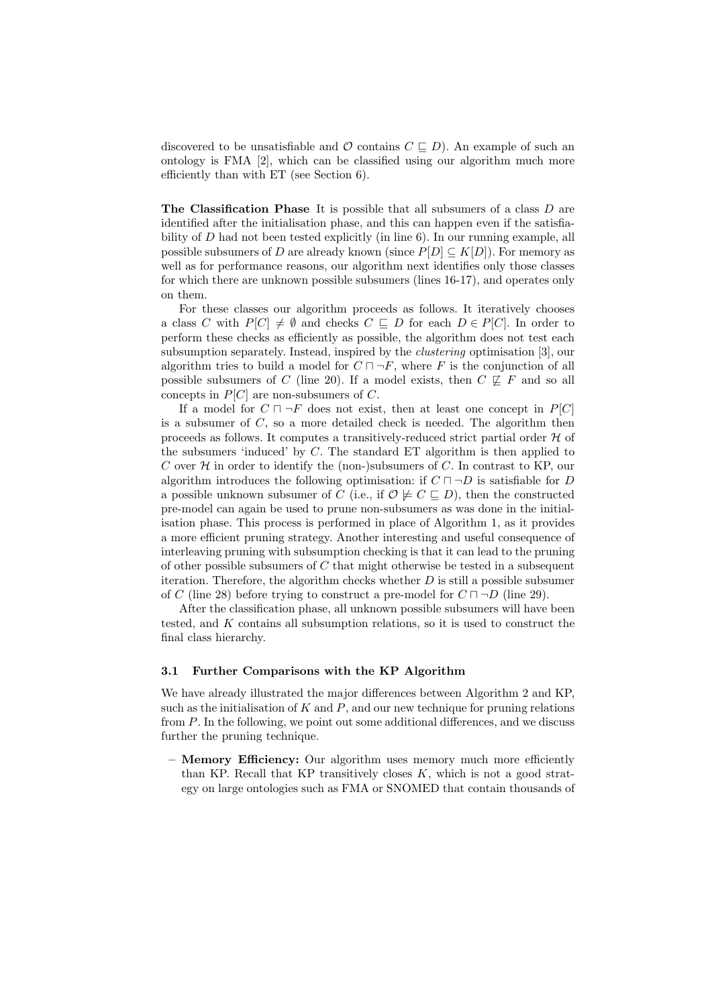discovered to be unsatisfiable and  $\mathcal{O}$  contains  $C \subseteq D$ ). An example of such an ontology is FMA [2], which can be classified using our algorithm much more efficiently than with ET (see Section 6).

**The Classification Phase** It is possible that all subsumers of a class *D* are identified after the initialisation phase, and this can happen even if the satisfiability of *D* had not been tested explicitly (in line 6). In our running example, all possible subsumers of *D* are already known (since  $P[D] \subseteq K[D]$ ). For memory as well as for performance reasons, our algorithm next identifies only those classes for which there are unknown possible subsumers (lines 16-17), and operates only on them.

For these classes our algorithm proceeds as follows. It iteratively chooses a class *C* with  $P[C] \neq \emptyset$  and checks  $C \subseteq D$  for each  $D \in P[C]$ . In order to perform these checks as efficiently as possible, the algorithm does not test each subsumption separately. Instead, inspired by the *clustering* optimisation [3], our algorithm tries to build a model for  $C \sqcap \neg F$ , where *F* is the conjunction of all possible subsumers of *C* (line 20). If a model exists, then  $C \not\sqsubseteq F$  and so all concepts in *P*[*C*] are non-subsumers of *C*.

If a model for  $C \sqcap \neg F$  does not exist, then at least one concept in  $P[C]$ is a subsumer of *C*, so a more detailed check is needed. The algorithm then proceeds as follows. It computes a transitively-reduced strict partial order *H* of the subsumers 'induced' by *C*. The standard ET algorithm is then applied to *C* over *H* in order to identify the (non-)subsumers of *C*. In contrast to KP, our algorithm introduces the following optimisation: if  $C \sqcap \neg D$  is satisfiable for *D* a possible unknown subsumer of *C* (i.e., if  $\mathcal{O} \not\models C \sqsubseteq D$ ), then the constructed pre-model can again be used to prune non-subsumers as was done in the initialisation phase. This process is performed in place of Algorithm 1, as it provides a more efficient pruning strategy. Another interesting and useful consequence of interleaving pruning with subsumption checking is that it can lead to the pruning of other possible subsumers of *C* that might otherwise be tested in a subsequent iteration. Therefore, the algorithm checks whether *D* is still a possible subsumer of *C* (line 28) before trying to construct a pre-model for  $C \sqcap \neg D$  (line 29).

After the classification phase, all unknown possible subsumers will have been tested, and *K* contains all subsumption relations, so it is used to construct the final class hierarchy.

# **3.1 Further Comparisons with the KP Algorithm**

We have already illustrated the major differences between Algorithm 2 and KP, such as the initialisation of *K* and *P*, and our new technique for pruning relations from *P*. In the following, we point out some additional differences, and we discuss further the pruning technique.

**– Memory Efficiency:** Our algorithm uses memory much more efficiently than KP. Recall that KP transitively closes *K*, which is not a good strategy on large ontologies such as FMA or SNOMED that contain thousands of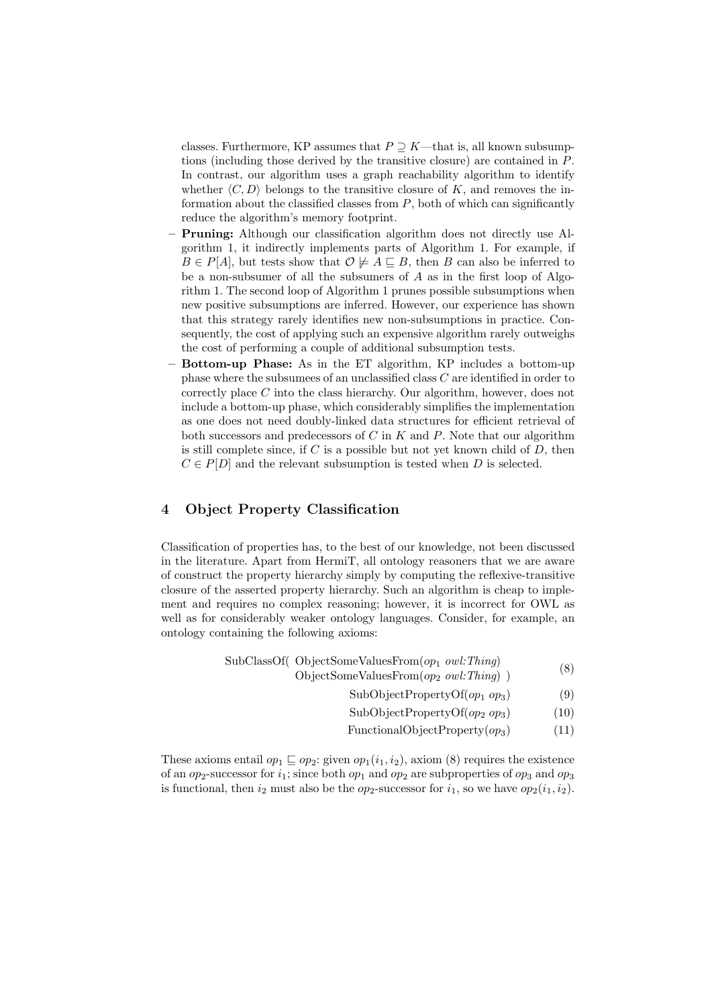classes. Furthermore, KP assumes that  $P \supseteq K$ —that is, all known subsumptions (including those derived by the transitive closure) are contained in *P*. In contrast, our algorithm uses a graph reachability algorithm to identify whether  $\langle C, D \rangle$  belongs to the transitive closure of *K*, and removes the information about the classified classes from *P*, both of which can significantly reduce the algorithm's memory footprint.

- **– Pruning:** Although our classification algorithm does not directly use Algorithm 1, it indirectly implements parts of Algorithm 1. For example, if  $B \in P[A]$ , but tests show that  $O \not\models A \sqsubseteq B$ , then *B* can also be inferred to be a non-subsumer of all the subsumers of *A* as in the first loop of Algorithm 1. The second loop of Algorithm 1 prunes possible subsumptions when new positive subsumptions are inferred. However, our experience has shown that this strategy rarely identifies new non-subsumptions in practice. Consequently, the cost of applying such an expensive algorithm rarely outweighs the cost of performing a couple of additional subsumption tests.
- **– Bottom-up Phase:** As in the ET algorithm, KP includes a bottom-up phase where the subsumees of an unclassified class *C* are identified in order to correctly place *C* into the class hierarchy. Our algorithm, however, does not include a bottom-up phase, which considerably simplifies the implementation as one does not need doubly-linked data structures for efficient retrieval of both successors and predecessors of *C* in *K* and *P*. Note that our algorithm is still complete since, if *C* is a possible but not yet known child of *D*, then  $C \in P[D]$  and the relevant subsumption is tested when *D* is selected.

# **4 Object Property Classification**

Classification of properties has, to the best of our knowledge, not been discussed in the literature. Apart from HermiT, all ontology reasoners that we are aware of construct the property hierarchy simply by computing the reflexive-transitive closure of the asserted property hierarchy. Such an algorithm is cheap to implement and requires no complex reasoning; however, it is incorrect for OWL as well as for considerably weaker ontology languages. Consider, for example, an ontology containing the following axioms:

| SubClassOf( ObjectSomeValuesFrom $(op_1 \, \text{owl:}$ Thing)<br>ObjectSomeValuesFrom $(op_2 \, \text{owl:} \, \text{Third})$ ) | (8) |
|----------------------------------------------------------------------------------------------------------------------------------|-----|
| $(101 \cdot 1)$ $(101 \cdot 1)$                                                                                                  | (0) |

SubObjectPropertyOf(*op*<sub>1</sub> *op*<sub>3</sub>) (9) SubObjectPropertyOf(*op*<sub>2</sub> *op*<sub>3</sub>) (10)

FunctionalObjectProperty(*op*<sub>3</sub>) (11)

These axioms entail  $op_1 \subseteq op_2$ : given  $op_1(i_1, i_2)$ , axiom (8) requires the existence of an  $op_2$ -successor for  $i_1$ ; since both  $op_1$  and  $op_2$  are subproperties of  $op_3$  and  $op_3$ is functional, then  $i_2$  must also be the *op*<sub>2</sub>-successor for  $i_1$ , so we have  $op_2(i_1, i_2)$ .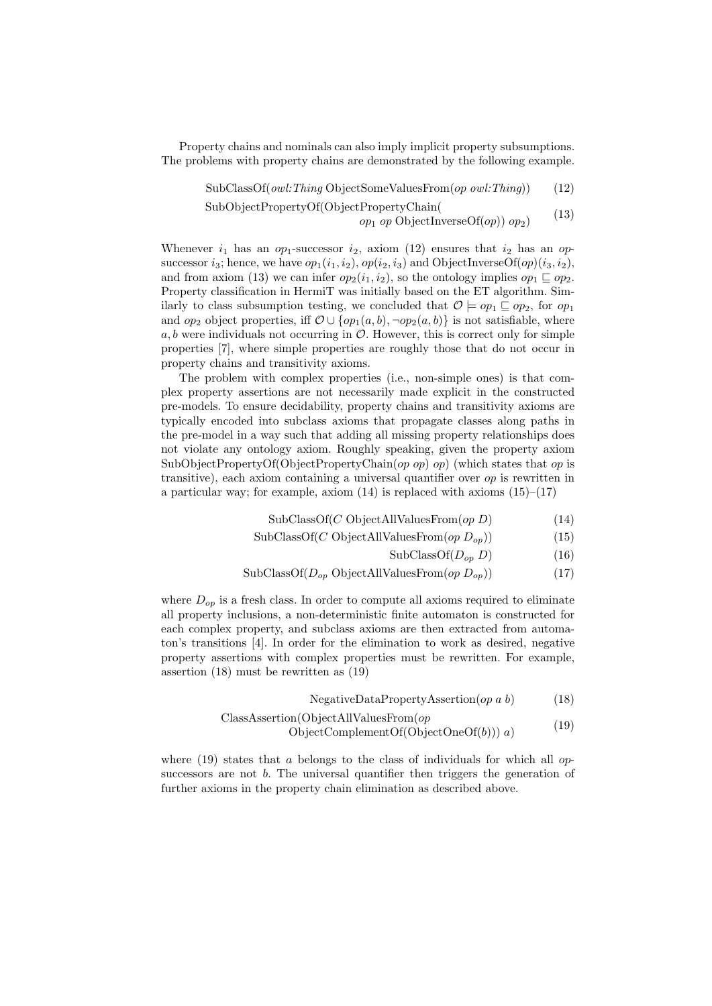Property chains and nominals can also imply implicit property subsumptions. The problems with property chains are demonstrated by the following example.

SubClassOf(*owl:Thing* ObjectSomeValuesFrom(*op owl:Thing*)) (12)

SubObjectPropertyOf(ObjectPropertyChain( (13)

 $op_1 op \text{ ObjectInverseOf}(op) \text{ } op_2$ 

Whenever  $i_1$  has an  $op_1$ -successor  $i_2$ , axiom (12) ensures that  $i_2$  has an  $op_1$ successor  $i_3$ ; hence, we have  $op_1(i_1, i_2)$ ,  $op(i_2, i_3)$  and ObjectInverseOf( $op)(i_3, i_2)$ , and from axiom (13) we can infer  $op_2(i_1, i_2)$ , so the ontology implies  $op_1 \subseteq op_2$ . Property classification in HermiT was initially based on the ET algorithm. Similarly to class subsumption testing, we concluded that  $\mathcal{O} \models op_1 \sqsubseteq op_2$ , for  $op_1$ and *op*<sub>2</sub> object properties, iff  $O \cup \{op_1(a, b), \neg op_2(a, b)\}\$ is not satisfiable, where *a, b* were individuals not occurring in *O*. However, this is correct only for simple properties [7], where simple properties are roughly those that do not occur in property chains and transitivity axioms.

The problem with complex properties (i.e., non-simple ones) is that complex property assertions are not necessarily made explicit in the constructed pre-models. To ensure decidability, property chains and transitivity axioms are typically encoded into subclass axioms that propagate classes along paths in the pre-model in a way such that adding all missing property relationships does not violate any ontology axiom. Roughly speaking, given the property axiom SubObjectPropertyOf(ObjectPropertyChain(*op op*) *op*) (which states that *op* is transitive), each axiom containing a universal quantifier over *op* is rewritten in a particular way; for example, axiom  $(14)$  is replaced with axioms  $(15)$ – $(17)$ 

SubClassOf(*C* ObjectAllValuesFrom(*op D*) (14)

SubClassOf(*C* ObjectAllValuesFrom(*op Dop*)) (15)

SubClassOf( $D_{op}$  *D*) (16)

SubClassOf
$$
(D_{op}
$$
 ObjectAllValuesFrom $(op D_{op}))$  (17)

where  $D_{op}$  is a fresh class. In order to compute all axioms required to eliminate all property inclusions, a non-deterministic finite automaton is constructed for each complex property, and subclass axioms are then extracted from automaton's transitions [4]. In order for the elimination to work as desired, negative property assertions with complex properties must be rewritten. For example, assertion (18) must be rewritten as (19)

\n
$$
\text{NegativeDataProperty} \text{assertion}(op \, a \, b) \tag{18}
$$
\n

\n\n
$$
\text{Class} \text{A}{\text{ssretion}}(\text{ObjectAllValuesFrom}(op \, o \, b)) \tag{19}
$$
\n

\n\n
$$
\text{ObjectComplement} \text{Of}(\text{ObjectOneOf}(b))) \, a)
$$
\n

where (19) states that *a* belongs to the class of individuals for which all *op*successors are not *b*. The universal quantifier then triggers the generation of further axioms in the property chain elimination as described above.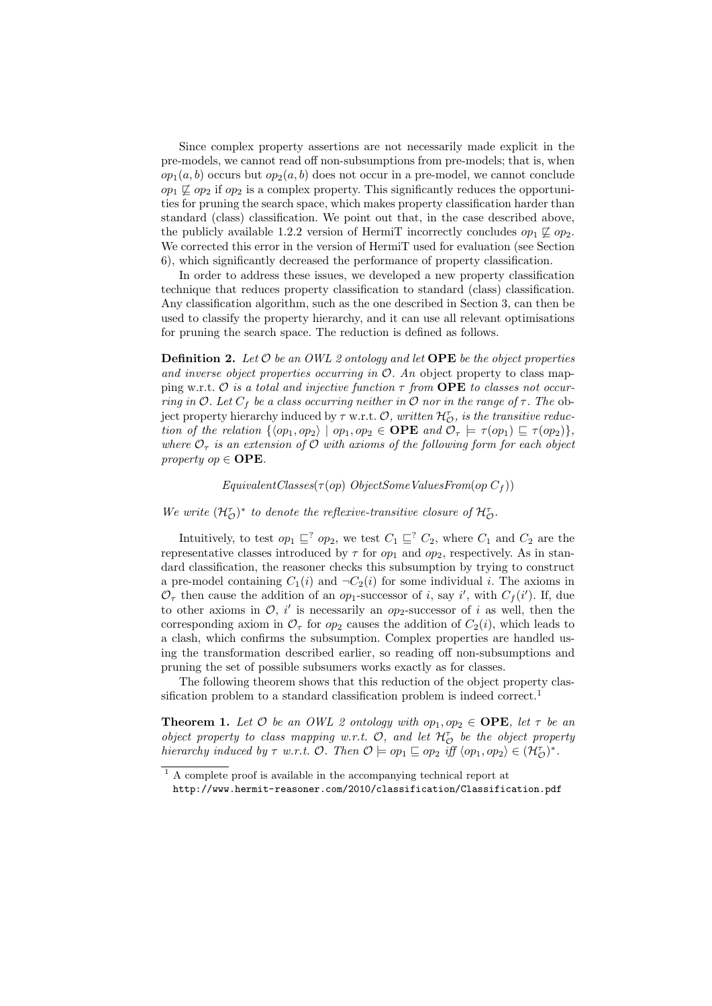Since complex property assertions are not necessarily made explicit in the pre-models, we cannot read off non-subsumptions from pre-models; that is, when  $op_1(a, b)$  occurs but  $op_2(a, b)$  does not occur in a pre-model, we cannot conclude  $op_1 \not\subseteq op_2$  if  $op_2$  is a complex property. This significantly reduces the opportunities for pruning the search space, which makes property classification harder than standard (class) classification. We point out that, in the case described above, the publicly available 1.2.2 version of HermiT incorrectly concludes  $op_1 \not\sqsubseteq op_2$ . We corrected this error in the version of HermiT used for evaluation (see Section 6), which significantly decreased the performance of property classification.

In order to address these issues, we developed a new property classification technique that reduces property classification to standard (class) classification. Any classification algorithm, such as the one described in Section 3, can then be used to classify the property hierarchy, and it can use all relevant optimisations for pruning the search space. The reduction is defined as follows.

**Definition 2.** *Let O be an OWL 2 ontology and let* **OPE** *be the object properties and inverse object properties occurring in O. An* object property to class mapping w.r.t. *O is a total and injective function τ from* **OPE** *to classes not occurring in*  $\mathcal{O}$ *. Let*  $C_f$  *be a class occurring neither in*  $\mathcal{O}$  *nor in the range of*  $\tau$ *. The ob*ject property hierarchy induced by  $\tau$  w.r.t.  $\mathcal{O}$ *, written*  $\mathcal{H}_{\mathcal{O}}^{\tau}$ *, is the transitive reduction of the relation*  $\{\langle op_1, op_2 \rangle \mid op_1, op_2 \in \textbf{OPE} \text{ and } \mathcal{O}_{\tau} \models \tau(op_1) \sqsubseteq \tau(op_2)\},\$ *where*  $\mathcal{O}_\tau$  *is an extension of*  $\mathcal{O}$  *with axioms of the following form for each object property*  $op \in$  **OPE***.* 

 $Equivalent Classes(τ(op) ObjectSomeValuesFrom(op C<sub>f</sub>)$ 

*We write*  $(\mathcal{H}_\mathcal{O}^{\tau})^*$  *to denote the reflexive-transitive closure of*  $\mathcal{H}_\mathcal{O}^{\tau}$ .

Intuitively, to test  $op_1 \subseteq^? op_2$ , we test  $C_1 \subseteq^? C_2$ , where  $C_1$  and  $C_2$  are the representative classes introduced by  $\tau$  for  $op_1$  and  $op_2$ , respectively. As in standard classification, the reasoner checks this subsumption by trying to construct a pre-model containing  $C_1(i)$  and  $\neg C_2(i)$  for some individual *i*. The axioms in  $\mathcal{O}_{\tau}$  then cause the addition of an *op*<sub>1</sub>-successor of *i*, say *i*<sup>'</sup>, with  $C_f(i')$ . If, due to other axioms in  $\mathcal{O}, i'$  is necessarily an *op*<sub>2</sub>-successor of *i* as well, then the corresponding axiom in  $\mathcal{O}_{\tau}$  for  $op_2$  causes the addition of  $C_2(i)$ , which leads to a clash, which confirms the subsumption. Complex properties are handled using the transformation described earlier, so reading off non-subsumptions and pruning the set of possible subsumers works exactly as for classes.

The following theorem shows that this reduction of the object property classification problem to a standard classification problem is indeed correct.<sup>1</sup>

**Theorem 1.** Let  $\mathcal{O}$  be an OWL 2 ontology with  $op_1, op_2 \in$  **OPE***, let*  $\tau$  *be an object property to class mapping w.r.t.*  $\mathcal{O}$ *, and let*  $\mathcal{H}_{\mathcal{O}}^{\tau}$  *be the object property hierarchy induced by*  $\tau$  *w.r.t.*  $\mathcal{O}$ *. Then*  $\mathcal{O} \models op_1 \sqsubseteq op_2$  *iff*  $\langle op_1, op_2 \rangle \in (\mathcal{H}_{\mathcal{O}}^{\tau})^*$ *.* 

<sup>1</sup> A complete proof is available in the accompanying technical report at

http://www.hermit-reasoner.com/2010/classification/Classification.pdf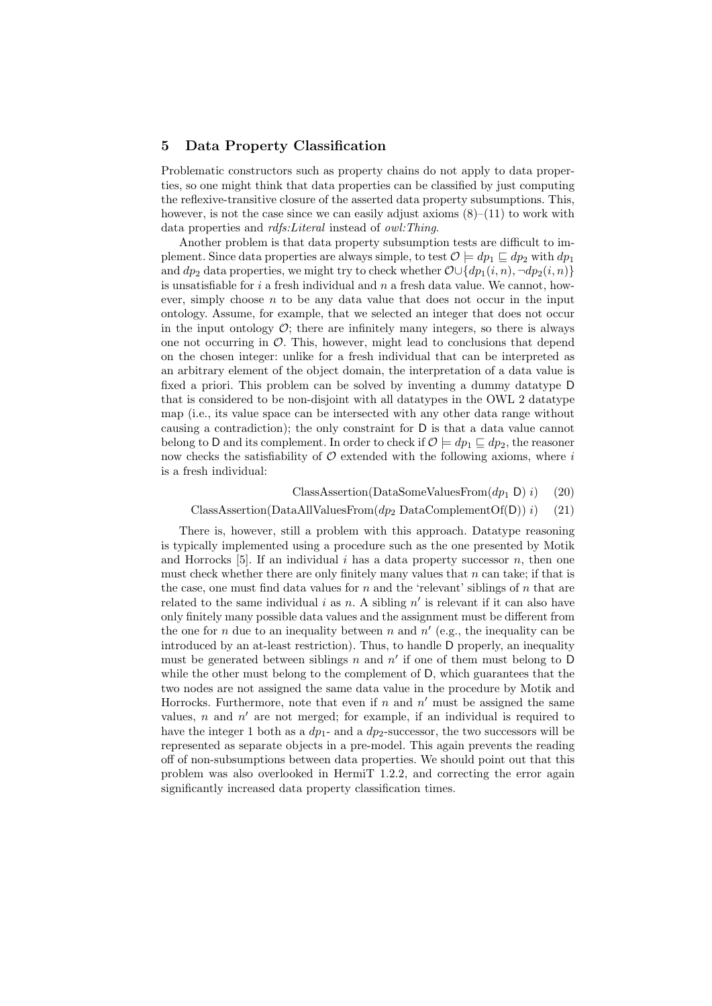# **5 Data Property Classification**

Problematic constructors such as property chains do not apply to data properties, so one might think that data properties can be classified by just computing the reflexive-transitive closure of the asserted data property subsumptions. This, however, is not the case since we can easily adjust axioms  $(8)$ – $(11)$  to work with data properties and *rdfs:Literal* instead of *owl:Thing*.

Another problem is that data property subsumption tests are difficult to implement. Since data properties are always simple, to test  $\mathcal{O} \models dp_1 \sqsubseteq dp_2$  with  $dp_1$ and  $dp_2$  data properties, we might try to check whether  $\mathcal{O}\cup\{dp_1(i, n), \neg dp_2(i, n)\}$ is unsatisfiable for *i* a fresh individual and *n* a fresh data value. We cannot, however, simply choose *n* to be any data value that does not occur in the input ontology. Assume, for example, that we selected an integer that does not occur in the input ontology  $\mathcal{O}$ ; there are infinitely many integers, so there is always one not occurring in *O*. This, however, might lead to conclusions that depend on the chosen integer: unlike for a fresh individual that can be interpreted as an arbitrary element of the object domain, the interpretation of a data value is fixed a priori. This problem can be solved by inventing a dummy datatype D that is considered to be non-disjoint with all datatypes in the OWL 2 datatype map (i.e., its value space can be intersected with any other data range without causing a contradiction); the only constraint for D is that a data value cannot belong to D and its complement. In order to check if  $\mathcal{O} \models dp_1 \sqsubset dp_2$ , the reasoner now checks the satisfiability of  $O$  extended with the following axioms, where  $i$ is a fresh individual:

### $ClassAssociation(DataSomeValuesFrom(dp<sub>1</sub> D) i)$  (20)

### ClassAssertion(DataAllValuesFrom(*dp*<sup>2</sup> DataComplementOf(D)) *i*) (21)

There is, however, still a problem with this approach. Datatype reasoning is typically implemented using a procedure such as the one presented by Motik and Horrocks [5]. If an individual *i* has a data property successor *n*, then one must check whether there are only finitely many values that *n* can take; if that is the case, one must find data values for *n* and the 'relevant' siblings of *n* that are related to the same individual  $i$  as  $n$ . A sibling  $n'$  is relevant if it can also have only finitely many possible data values and the assignment must be different from the one for *n* due to an inequality between *n* and  $n'$  (e.g., the inequality can be introduced by an at-least restriction). Thus, to handle D properly, an inequality must be generated between siblings  $n$  and  $n'$  if one of them must belong to D while the other must belong to the complement of  $D$ , which guarantees that the two nodes are not assigned the same data value in the procedure by Motik and Horrocks. Furthermore, note that even if  $n$  and  $n'$  must be assigned the same values,  $n$  and  $n'$  are not merged; for example, if an individual is required to have the integer 1 both as a  $dp_1$ - and a  $dp_2$ -successor, the two successors will be represented as separate objects in a pre-model. This again prevents the reading off of non-subsumptions between data properties. We should point out that this problem was also overlooked in HermiT 1.2.2, and correcting the error again significantly increased data property classification times.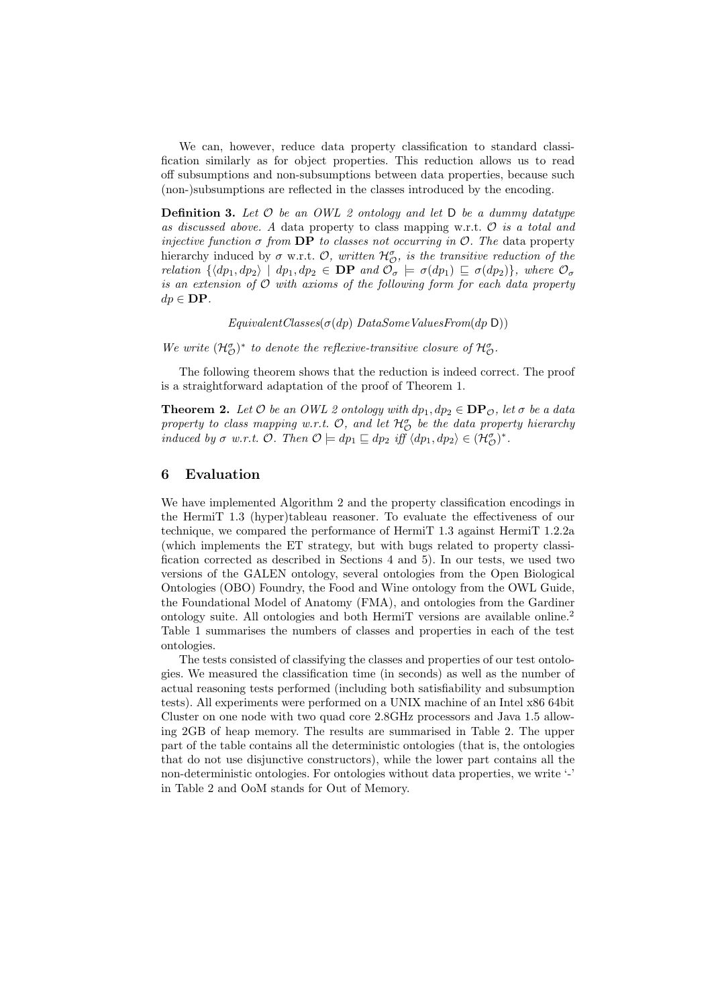We can, however, reduce data property classification to standard classification similarly as for object properties. This reduction allows us to read off subsumptions and non-subsumptions between data properties, because such (non-)subsumptions are reflected in the classes introduced by the encoding.

**Definition 3.** *Let O be an OWL 2 ontology and let* D *be a dummy datatype as discussed above. A* data property to class mapping w.r.t. *O is a total and injective function σ from* **DP** *to classes not occurring in O. The* data property hierarchy induced by  $\sigma$  w.r.t.  $\mathcal{O}$ *, written*  $\mathcal{H}_{\mathcal{O}}^{\sigma}$ *, is the transitive reduction of the* relation  $\{\langle dp_1, dp_2 \rangle \mid dp_1, dp_2 \in \mathbf{DP} \text{ and } \mathcal{O}_{\sigma} \models \sigma(dp_1) \sqsubseteq \sigma(dp_2)\}, where \mathcal{O}_{\sigma}$ *is an extension of O with axioms of the following form for each data property*  $dp \in \mathbf{DP}$ *.* 

 $Equivalent Classes(σ(dp) DataSomeValuesFrom(dp D)$ 

*We write*  $(\mathcal{H}_{\mathcal{O}}^{\sigma})^*$  *to denote the reflexive-transitive closure of*  $\mathcal{H}_{\mathcal{O}}^{\sigma}$ *.* 

The following theorem shows that the reduction is indeed correct. The proof is a straightforward adaptation of the proof of Theorem 1.

**Theorem 2.** Let  $\mathcal{O}$  be an OWL 2 ontology with  $dp_1, dp_2 \in \mathbf{DP}_\mathcal{O}$ , let  $\sigma$  be a data *property to class mapping w.r.t.*  $\mathcal{O}$ , and let  $\mathcal{H}_{\mathcal{O}}^{\sigma}$  be the data property hierarchy *induced by*  $\sigma$  *w.r.t.*  $\mathcal{O}$ *. Then*  $\mathcal{O} \models dp_1 \sqsubseteq dp_2$  *iff*  $\langle dp_1, dp_2 \rangle \in (\mathcal{H}_\mathcal{O}^{\sigma})^*$ *.* 

# **6 Evaluation**

We have implemented Algorithm 2 and the property classification encodings in the HermiT 1.3 (hyper)tableau reasoner. To evaluate the effectiveness of our technique, we compared the performance of HermiT 1.3 against HermiT 1.2.2a (which implements the ET strategy, but with bugs related to property classification corrected as described in Sections 4 and 5). In our tests, we used two versions of the GALEN ontology, several ontologies from the Open Biological Ontologies (OBO) Foundry, the Food and Wine ontology from the OWL Guide, the Foundational Model of Anatomy (FMA), and ontologies from the Gardiner ontology suite. All ontologies and both HermiT versions are available online.<sup>2</sup> Table 1 summarises the numbers of classes and properties in each of the test ontologies.

The tests consisted of classifying the classes and properties of our test ontologies. We measured the classification time (in seconds) as well as the number of actual reasoning tests performed (including both satisfiability and subsumption tests). All experiments were performed on a UNIX machine of an Intel x86 64bit Cluster on one node with two quad core 2.8GHz processors and Java 1.5 allowing 2GB of heap memory. The results are summarised in Table 2. The upper part of the table contains all the deterministic ontologies (that is, the ontologies that do not use disjunctive constructors), while the lower part contains all the non-deterministic ontologies. For ontologies without data properties, we write '-' in Table 2 and OoM stands for Out of Memory.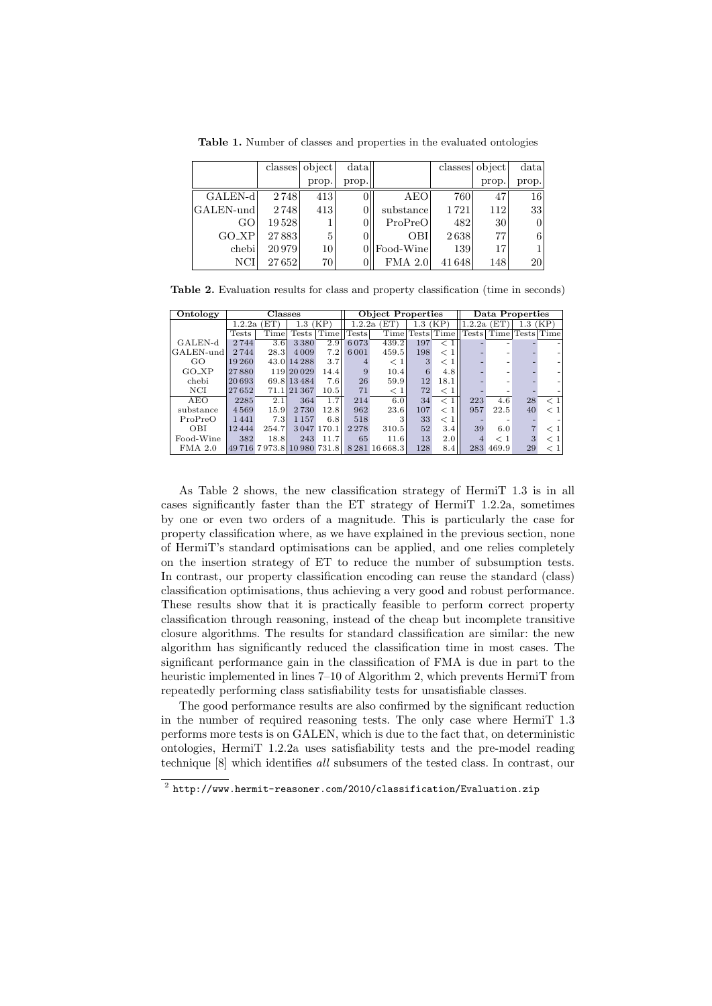**Table 1.** Number of classes and properties in the evaluated ontologies

|              | classes | object | data  |                | classes | object | data  |
|--------------|---------|--------|-------|----------------|---------|--------|-------|
|              |         | prop.  | prop. |                |         | prop.  | prop. |
| GALEN-dl     | 2748    | 413    |       | <b>AEO</b>     | 760     | 47     | 16    |
| GALEN-und    | 2748    | 413    |       | substance      | 1721    | 112    | 33    |
| GO           | 19528   |        |       | ProPreO        | 482     | 30     |       |
| $GO_XP$      | 27883   | 5      |       | OBI            | 2638    | 77     |       |
| chebi        | 20979   | 10     |       | Food-Wine      | 139     | 17     |       |
| $_{\rm NCI}$ | 27652   | 70     |       | <b>FMA 2.0</b> | 41648   | 148    | 20    |

**Table 2.** Evaluation results for class and property classification (time in seconds)

| Ontology       | Classes                |               |             | <b>Object Properties</b> |         |                       | <b>Data Properties</b> |                   |                              |       |         |        |
|----------------|------------------------|---------------|-------------|--------------------------|---------|-----------------------|------------------------|-------------------|------------------------------|-------|---------|--------|
|                | 1.2.2a                 | (ET)          | 1.3         | ΈP                       | 1.2.2a  | ET)                   | $1.3\,$                | 'KP)              | 1.2.2a                       | (ET   | $1.3\,$ | KP)    |
|                | $\operatorname{Tests}$ | Time          | Tests       | l Time.                  | Tests   |                       |                        | Time Tests Time   | <b>Tests Time Tests Time</b> |       |         |        |
| GALEN-d        | 2744                   | 3.6           | 3380        | 2.9                      | 6073    | 439.2                 | 197                    | $\leq$            |                              |       |         |        |
| GALEN-und      | 2744                   | 28.3          | 4 0 0 9     | 7.2                      | 6 0 0 1 | 459.5                 | 198                    | $\,<\,$           |                              |       |         |        |
| GO             | 19 260                 |               | 43.0 14 288 | 3.7                      |         | < 1                   |                        | $\,<\,$           |                              |       |         |        |
| GO_XP          | 27880                  |               | 119 20 029  | 14.4                     |         | 10.4                  |                        | 4.8               |                              |       |         |        |
| chebi          | 20 693                 |               | 69.8 13484  | 7.6                      | 26      | 59.9                  | 12                     | 18.1              |                              |       |         |        |
| NCI            | 27652                  | 71.1          | 21 367      | 10.5                     | 71      | < 1                   | 72                     | $\leq$ 1          |                              | -     |         |        |
| <b>AEO</b>     | 2285                   | 2.1           | 364         | 1.7                      | 214     | 6.0                   | 34                     | $\alpha$          | 223                          | 4.6   | 28      | < 1    |
| substance      | 4569                   | 15.9          | 2730        | 12.8                     | 962     | 23.6                  | 107                    | $\leq$ $^{\circ}$ | 957                          | 22.5  | 40      | - 1    |
| ProPreO        | 1441                   | 7.3           | 1157        | 6.8                      | 518     |                       | 33                     | $\,<\,$           |                              |       |         |        |
| OBI            | 12444                  | 254.7         |             | 3047170.1                | 2 2 7 8 | 310.5                 | 52                     | 3.4               | 39                           | 6.0   |         |        |
| Food-Wine      | 382                    | 18.8          | 243         | 11.7                     | 65      | 11.6                  | 13                     | 2.0               |                              |       |         | $<\,1$ |
| <b>FMA 2.0</b> |                        | 49 716 7973.8 | 10980 731.8 |                          |         | 8 2 8 1 1 6 6 6 8 . 3 | 128                    | 8.4               | 283                          | 469.9 | 29      | $<\,1$ |

As Table 2 shows, the new classification strategy of HermiT 1.3 is in all cases significantly faster than the ET strategy of HermiT 1.2.2a, sometimes by one or even two orders of a magnitude. This is particularly the case for property classification where, as we have explained in the previous section, none of HermiT's standard optimisations can be applied, and one relies completely on the insertion strategy of ET to reduce the number of subsumption tests. In contrast, our property classification encoding can reuse the standard (class) classification optimisations, thus achieving a very good and robust performance. These results show that it is practically feasible to perform correct property classification through reasoning, instead of the cheap but incomplete transitive closure algorithms. The results for standard classification are similar: the new algorithm has significantly reduced the classification time in most cases. The significant performance gain in the classification of FMA is due in part to the heuristic implemented in lines 7–10 of Algorithm 2, which prevents HermiT from repeatedly performing class satisfiability tests for unsatisfiable classes.

The good performance results are also confirmed by the significant reduction in the number of required reasoning tests. The only case where HermiT 1.3 performs more tests is on GALEN, which is due to the fact that, on deterministic ontologies, HermiT 1.2.2a uses satisfiability tests and the pre-model reading technique [8] which identifies *all* subsumers of the tested class. In contrast, our

 $^2$  http://www.hermit-reasoner.com/2010/classification/Evaluation.zip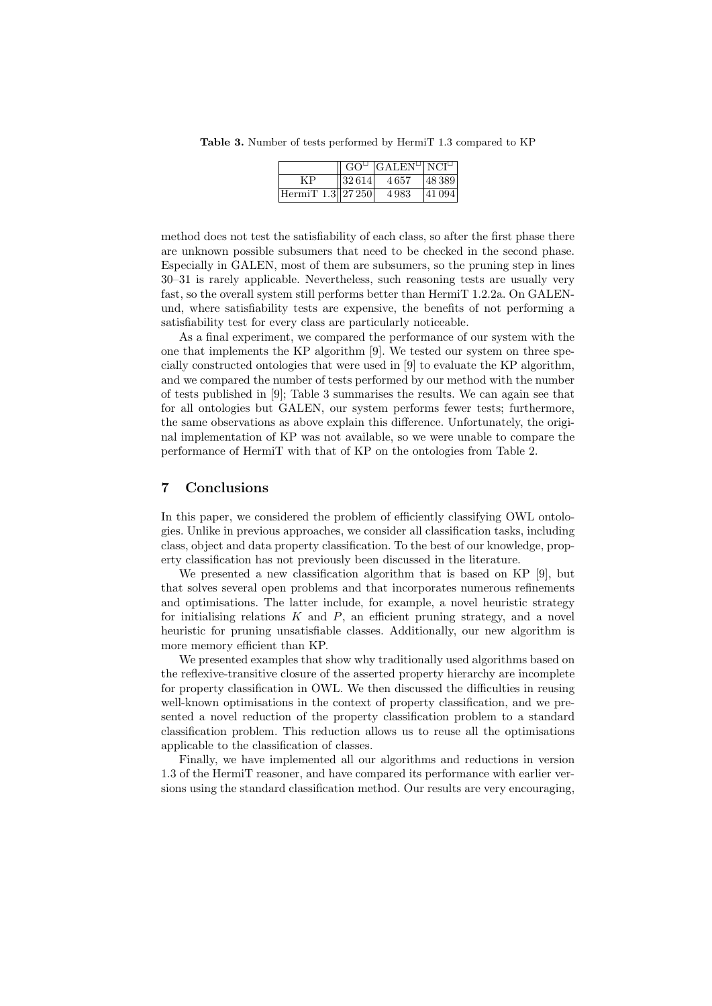**Table 3.** Number of tests performed by HermiT 1.3 compared to KP

|                    |       | $GO^{\sqcup}$ GALEN <sup><math>\sqcup</math></sup> NCI <sup><math>\sqcup</math></sup> |        |
|--------------------|-------|---------------------------------------------------------------------------------------|--------|
| KP.                | 32614 | 4657                                                                                  | 48 389 |
| HermiT 1.3  27 250 |       | 4983                                                                                  | 41094  |

method does not test the satisfiability of each class, so after the first phase there are unknown possible subsumers that need to be checked in the second phase. Especially in GALEN, most of them are subsumers, so the pruning step in lines 30–31 is rarely applicable. Nevertheless, such reasoning tests are usually very fast, so the overall system still performs better than HermiT 1.2.2a. On GALENund, where satisfiability tests are expensive, the benefits of not performing a satisfiability test for every class are particularly noticeable.

As a final experiment, we compared the performance of our system with the one that implements the KP algorithm [9]. We tested our system on three specially constructed ontologies that were used in [9] to evaluate the KP algorithm, and we compared the number of tests performed by our method with the number of tests published in [9]; Table 3 summarises the results. We can again see that for all ontologies but GALEN, our system performs fewer tests; furthermore, the same observations as above explain this difference. Unfortunately, the original implementation of KP was not available, so we were unable to compare the performance of HermiT with that of KP on the ontologies from Table 2.

### **7 Conclusions**

In this paper, we considered the problem of efficiently classifying OWL ontologies. Unlike in previous approaches, we consider all classification tasks, including class, object and data property classification. To the best of our knowledge, property classification has not previously been discussed in the literature.

We presented a new classification algorithm that is based on KP [9], but that solves several open problems and that incorporates numerous refinements and optimisations. The latter include, for example, a novel heuristic strategy for initialising relations *K* and *P*, an efficient pruning strategy, and a novel heuristic for pruning unsatisfiable classes. Additionally, our new algorithm is more memory efficient than KP.

We presented examples that show why traditionally used algorithms based on the reflexive-transitive closure of the asserted property hierarchy are incomplete for property classification in OWL. We then discussed the difficulties in reusing well-known optimisations in the context of property classification, and we presented a novel reduction of the property classification problem to a standard classification problem. This reduction allows us to reuse all the optimisations applicable to the classification of classes.

Finally, we have implemented all our algorithms and reductions in version 1.3 of the HermiT reasoner, and have compared its performance with earlier versions using the standard classification method. Our results are very encouraging,